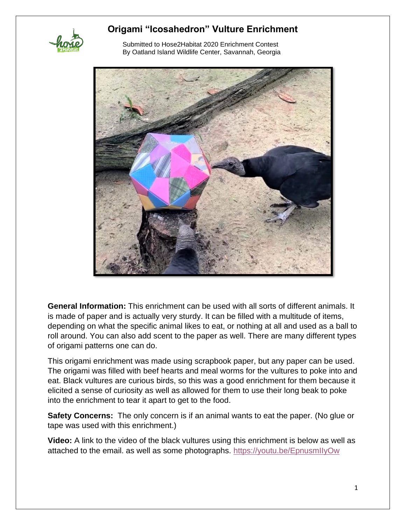

 Submitted to Hose2Habitat 2020 Enrichment Contest By Oatland Island Wildlife Center, Savannah, Georgia



**General Information:** This enrichment can be used with all sorts of different animals. It is made of paper and is actually very sturdy. It can be filled with a multitude of items, depending on what the specific animal likes to eat, or nothing at all and used as a ball to roll around. You can also add scent to the paper as well. There are many different types of origami patterns one can do.

This origami enrichment was made using scrapbook paper, but any paper can be used. The origami was filled with beef hearts and meal worms for the vultures to poke into and eat. Black vultures are curious birds, so this was a good enrichment for them because it elicited a sense of curiosity as well as allowed for them to use their long beak to poke into the enrichment to tear it apart to get to the food.

**Safety Concerns:** The only concern is if an animal wants to eat the paper. (No glue or tape was used with this enrichment.)

**Video:** A link to the video of the black vultures using this enrichment is below as well as attached to the email. as well as some photographs. [https://youtu.be/EpnusmIIyOw](about:blank)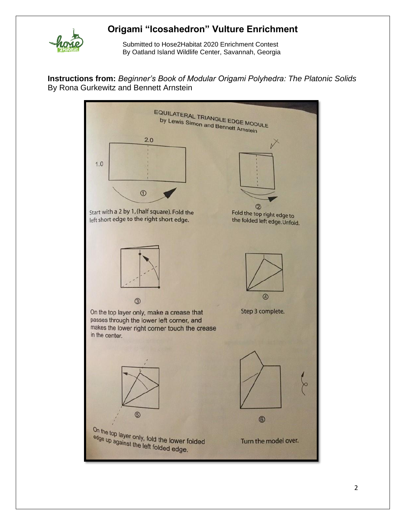

 Submitted to Hose2Habitat 2020 Enrichment Contest By Oatland Island Wildlife Center, Savannah, Georgia

**Instructions from:** *Beginner's Book of Modular Origami Polyhedra: The Platonic Solids* By Rona Gurkewitz and Bennett Arnstein

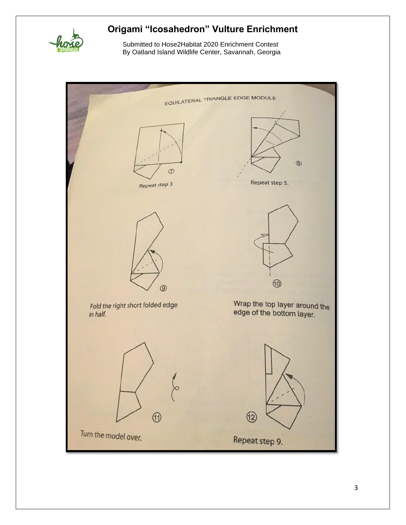

 Submitted to Hose2Habitat 2020 Enrichment Contest By Oatland Island Wildlife Center, Savannah, Georgia

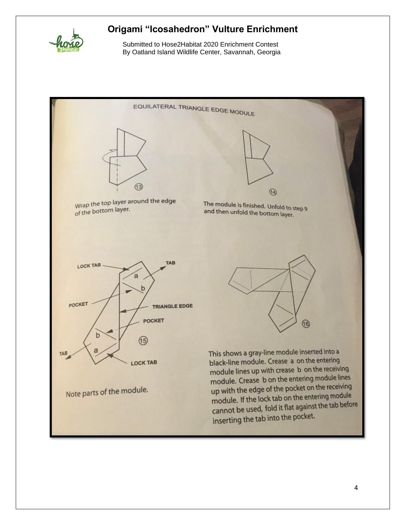

 Submitted to Hose2Habitat 2020 Enrichment Contest By Oatland Island Wildlife Center, Savannah, Georgia